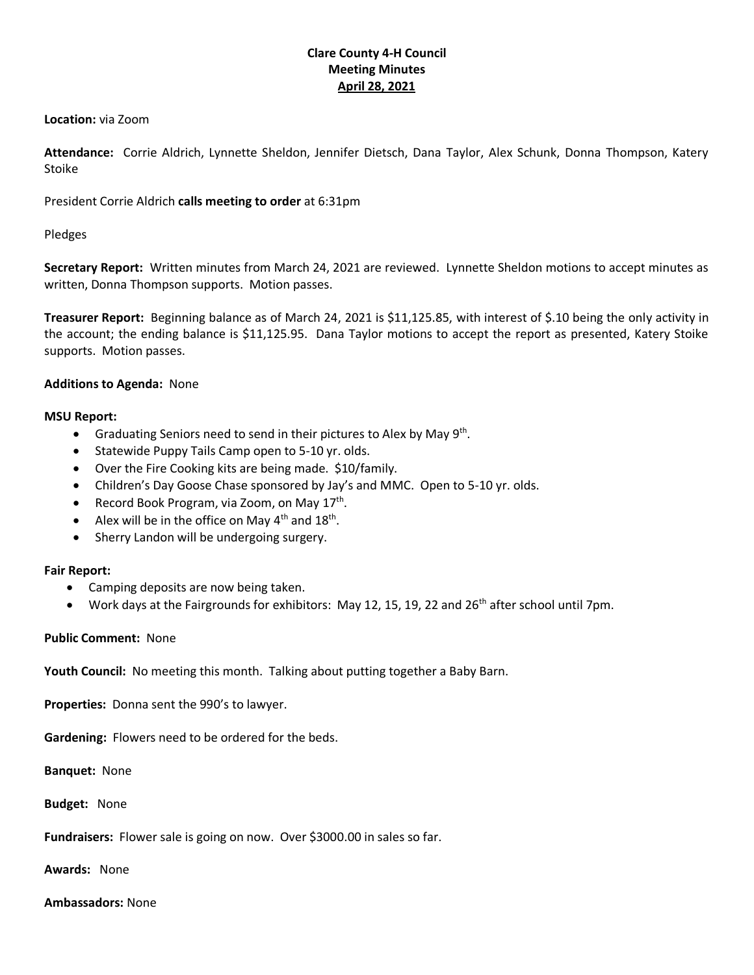# **Clare County 4-H Council Meeting Minutes April 28, 2021**

#### **Location:** via Zoom

**Attendance:** Corrie Aldrich, Lynnette Sheldon, Jennifer Dietsch, Dana Taylor, Alex Schunk, Donna Thompson, Katery Stoike

President Corrie Aldrich **calls meeting to order** at 6:31pm

## Pledges

**Secretary Report:** Written minutes from March 24, 2021 are reviewed. Lynnette Sheldon motions to accept minutes as written, Donna Thompson supports. Motion passes.

**Treasurer Report:** Beginning balance as of March 24, 2021 is \$11,125.85, with interest of \$.10 being the only activity in the account; the ending balance is \$11,125.95. Dana Taylor motions to accept the report as presented, Katery Stoike supports. Motion passes.

### **Additions to Agenda:** None

### **MSU Report:**

- Graduating Seniors need to send in their pictures to Alex by May 9<sup>th</sup>.
- Statewide Puppy Tails Camp open to 5-10 yr. olds.
- Over the Fire Cooking kits are being made. \$10/family.
- Children's Day Goose Chase sponsored by Jay's and MMC. Open to 5-10 yr. olds.
- Record Book Program, via Zoom, on May 17<sup>th</sup>.
- Alex will be in the office on May  $4<sup>th</sup>$  and  $18<sup>th</sup>$ .
- Sherry Landon will be undergoing surgery.

#### **Fair Report:**

- Camping deposits are now being taken.
- Work days at the Fairgrounds for exhibitors: May 12, 15, 19, 22 and 26<sup>th</sup> after school until 7pm.

## **Public Comment:** None

**Youth Council:** No meeting this month. Talking about putting together a Baby Barn.

**Properties:** Donna sent the 990's to lawyer.

**Gardening:** Flowers need to be ordered for the beds.

**Banquet:** None

**Budget:** None

**Fundraisers:** Flower sale is going on now. Over \$3000.00 in sales so far.

**Awards:** None

**Ambassadors:** None